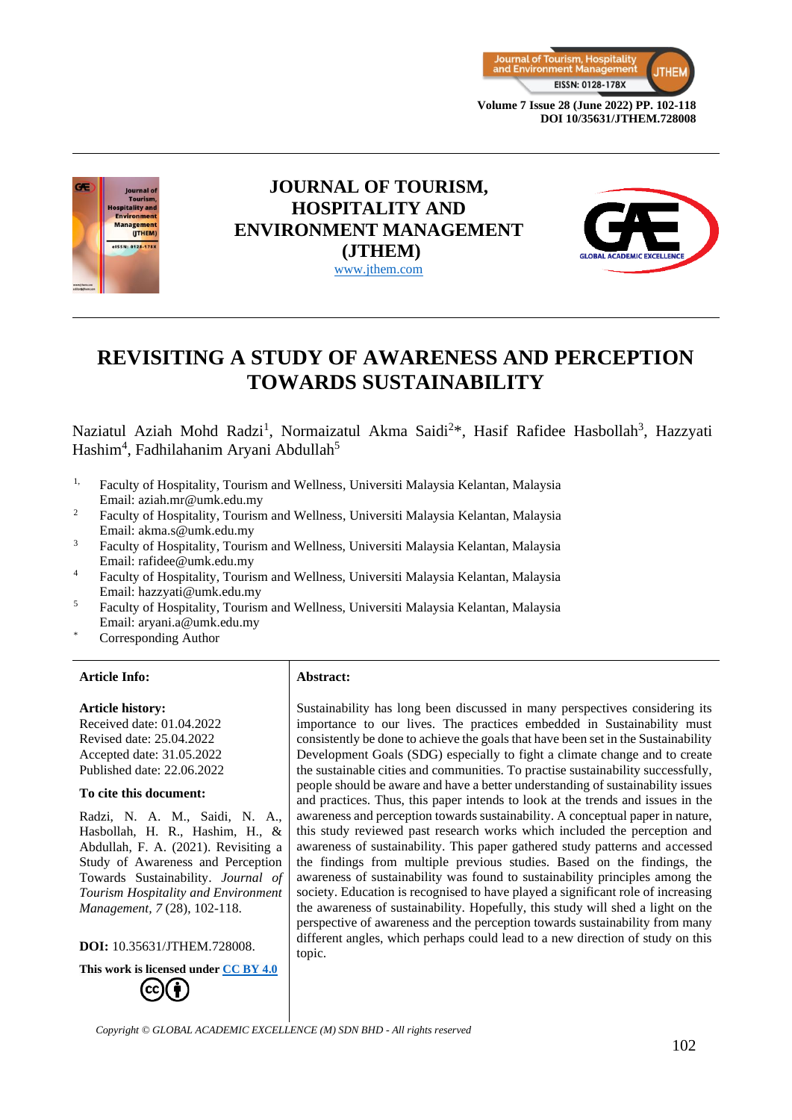



# **JOURNAL OF TOURISM, HOSPITALITY AND ENVIRONMENT MANAGEMENT (JTHEM)** [www.jthem.com](http://www.jthem.com/)



# **REVISITING A STUDY OF AWARENESS AND PERCEPTION TOWARDS SUSTAINABILITY**

Naziatul Aziah Mohd Radzi<sup>1</sup>, Normaizatul Akma Saidi<sup>2\*</sup>, Hasif Rafidee Hasbollah<sup>3</sup>, Hazzyati Hashim<sup>4</sup>, Fadhilahanim Aryani Abdullah<sup>5</sup>

- <sup>1,</sup> Faculty of Hospitality, Tourism and Wellness, Universiti Malaysia Kelantan, Malaysia Email: aziah.mr@umk.edu.my
- <sup>2</sup> Faculty of Hospitality, Tourism and Wellness, Universiti Malaysia Kelantan, Malaysia Email: akma.s@umk.edu.my
- <sup>3</sup> Faculty of Hospitality, Tourism and Wellness, Universiti Malaysia Kelantan, Malaysia Email: rafidee@umk.edu.my
- <sup>4</sup> Faculty of Hospitality, Tourism and Wellness, Universiti Malaysia Kelantan, Malaysia Email: hazzyati@umk.edu.my
- <sup>5</sup> Faculty of Hospitality, Tourism and Wellness, Universiti Malaysia Kelantan, Malaysia Email: aryani.a@umk.edu.my
- Corresponding Author

#### **Article Info: Abstract:**

#### **Article history:**

Received date: 01.04.2022 Revised date: 25.04.2022 Accepted date: 31.05.2022 Published date: 22.06.2022

#### **To cite this document:**

Radzi, N. A. M., Saidi, N. A., Hasbollah, H. R., Hashim, H., & Abdullah, F. A. (2021). Revisiting a Study of Awareness and Perception Towards Sustainability. *Journal of Tourism Hospitality and Environment Management, 7* (28), 102-118.

**DOI:** 10.35631/JTHEM.728008.



Sustainability has long been discussed in many perspectives considering its importance to our lives. The practices embedded in Sustainability must consistently be done to achieve the goals that have been set in the Sustainability Development Goals (SDG) especially to fight a climate change and to create the sustainable cities and communities. To practise sustainability successfully, people should be aware and have a better understanding of sustainability issues and practices. Thus, this paper intends to look at the trends and issues in the awareness and perception towards sustainability. A conceptual paper in nature, this study reviewed past research works which included the perception and awareness of sustainability. This paper gathered study patterns and accessed the findings from multiple previous studies. Based on the findings, the awareness of sustainability was found to sustainability principles among the society. Education is recognised to have played a significant role of increasing the awareness of sustainability. Hopefully, this study will shed a light on the perspective of awareness and the perception towards sustainability from many different angles, which perhaps could lead to a new direction of study on this topic.

*Copyright © GLOBAL ACADEMIC EXCELLENCE (M) SDN BHD - All rights reserved*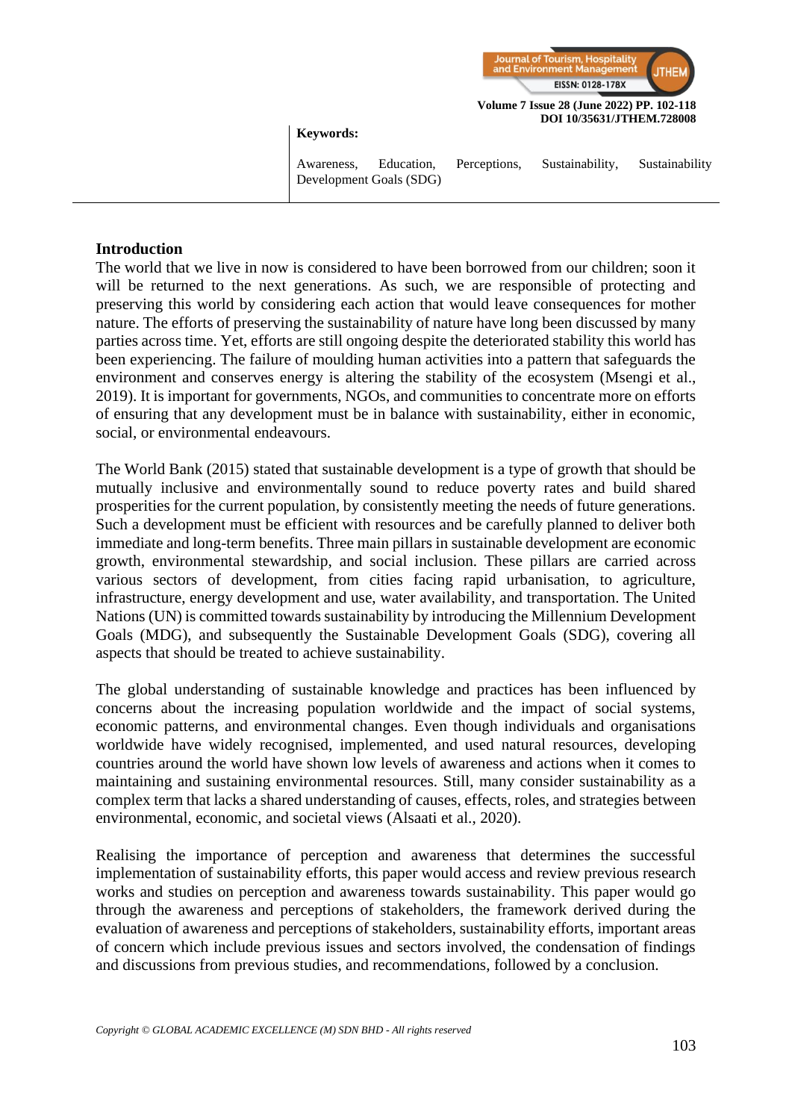

#### **Keywords:**

Awareness, Education, Perceptions, Sustainability, Sustainability Development Goals (SDG)

#### **Introduction**

The world that we live in now is considered to have been borrowed from our children; soon it will be returned to the next generations. As such, we are responsible of protecting and preserving this world by considering each action that would leave consequences for mother nature. The efforts of preserving the sustainability of nature have long been discussed by many parties across time. Yet, efforts are still ongoing despite the deteriorated stability this world has been experiencing. The failure of moulding human activities into a pattern that safeguards the environment and conserves energy is altering the stability of the ecosystem (Msengi et al., 2019). It is important for governments, NGOs, and communities to concentrate more on efforts of ensuring that any development must be in balance with sustainability, either in economic, social, or environmental endeavours.

The World Bank (2015) stated that sustainable development is a type of growth that should be mutually inclusive and environmentally sound to reduce poverty rates and build shared prosperities for the current population, by consistently meeting the needs of future generations. Such a development must be efficient with resources and be carefully planned to deliver both immediate and long-term benefits. Three main pillars in sustainable development are economic growth, environmental stewardship, and social inclusion. These pillars are carried across various sectors of development, from cities facing rapid urbanisation, to agriculture, infrastructure, energy development and use, water availability, and transportation. The United Nations (UN) is committed towards sustainability by introducing the Millennium Development Goals (MDG), and subsequently the Sustainable Development Goals (SDG), covering all aspects that should be treated to achieve sustainability.

The global understanding of sustainable knowledge and practices has been influenced by concerns about the increasing population worldwide and the impact of social systems, economic patterns, and environmental changes. Even though individuals and organisations worldwide have widely recognised, implemented, and used natural resources, developing countries around the world have shown low levels of awareness and actions when it comes to maintaining and sustaining environmental resources. Still, many consider sustainability as a complex term that lacks a shared understanding of causes, effects, roles, and strategies between environmental, economic, and societal views (Alsaati et al., 2020).

Realising the importance of perception and awareness that determines the successful implementation of sustainability efforts, this paper would access and review previous research works and studies on perception and awareness towards sustainability. This paper would go through the awareness and perceptions of stakeholders, the framework derived during the evaluation of awareness and perceptions of stakeholders, sustainability efforts, important areas of concern which include previous issues and sectors involved, the condensation of findings and discussions from previous studies, and recommendations, followed by a conclusion.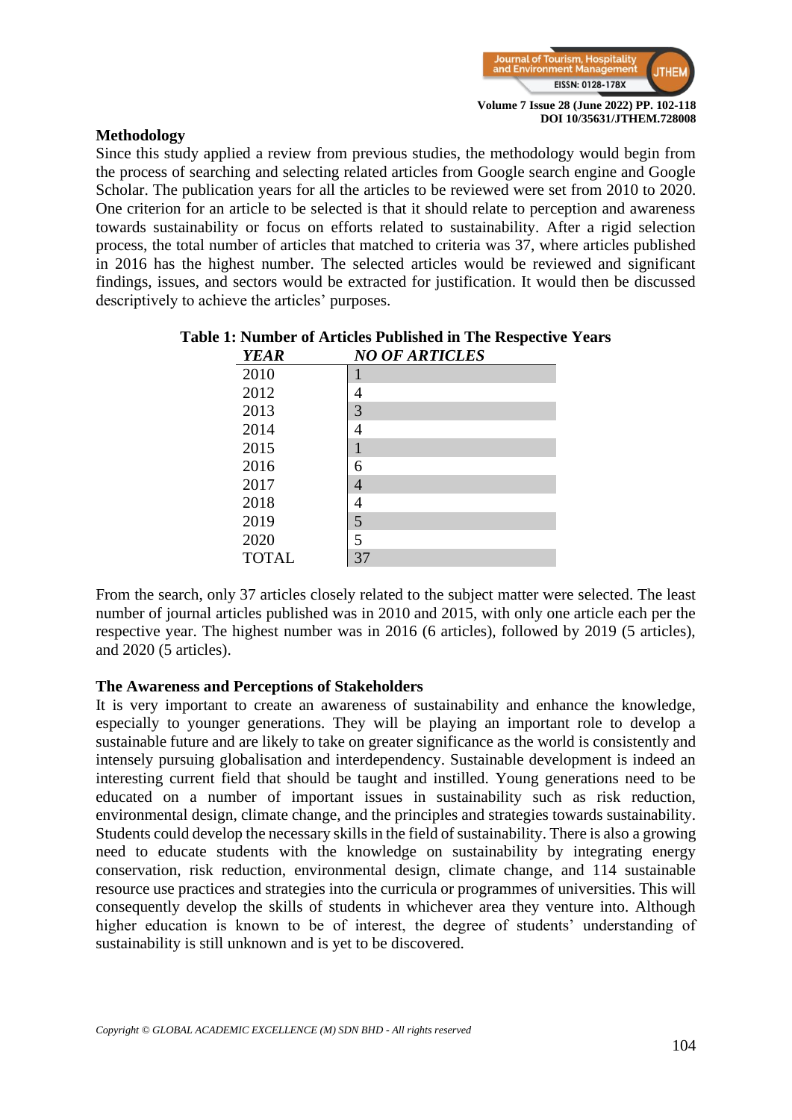

## **Methodology**

Since this study applied a review from previous studies, the methodology would begin from the process of searching and selecting related articles from Google search engine and Google Scholar. The publication years for all the articles to be reviewed were set from 2010 to 2020. One criterion for an article to be selected is that it should relate to perception and awareness towards sustainability or focus on efforts related to sustainability. After a rigid selection process, the total number of articles that matched to criteria was 37, where articles published in 2016 has the highest number. The selected articles would be reviewed and significant findings, issues, and sectors would be extracted for justification. It would then be discussed descriptively to achieve the articles' purposes.

| <b>YEAR</b>  | <b>NO OF ARTICLES</b> |
|--------------|-----------------------|
| 2010         |                       |
| 2012         | 4                     |
| 2013         | 3                     |
| 2014         | 4                     |
| 2015         | 1                     |
| 2016         | 6                     |
| 2017         | 4                     |
| 2018         | 4                     |
| 2019         | $\overline{5}$        |
| 2020         | 5                     |
| <b>TOTAL</b> | 37                    |

# **Table 1: Number of Articles Published in The Respective Years**

From the search, only 37 articles closely related to the subject matter were selected. The least number of journal articles published was in 2010 and 2015, with only one article each per the respective year. The highest number was in 2016 (6 articles), followed by 2019 (5 articles), and 2020 (5 articles).

#### **The Awareness and Perceptions of Stakeholders**

It is very important to create an awareness of sustainability and enhance the knowledge, especially to younger generations. They will be playing an important role to develop a sustainable future and are likely to take on greater significance as the world is consistently and intensely pursuing globalisation and interdependency. Sustainable development is indeed an interesting current field that should be taught and instilled. Young generations need to be educated on a number of important issues in sustainability such as risk reduction, environmental design, climate change, and the principles and strategies towards sustainability. Students could develop the necessary skills in the field of sustainability. There is also a growing need to educate students with the knowledge on sustainability by integrating energy conservation, risk reduction, environmental design, climate change, and 114 sustainable resource use practices and strategies into the curricula or programmes of universities. This will consequently develop the skills of students in whichever area they venture into. Although higher education is known to be of interest, the degree of students' understanding of sustainability is still unknown and is yet to be discovered.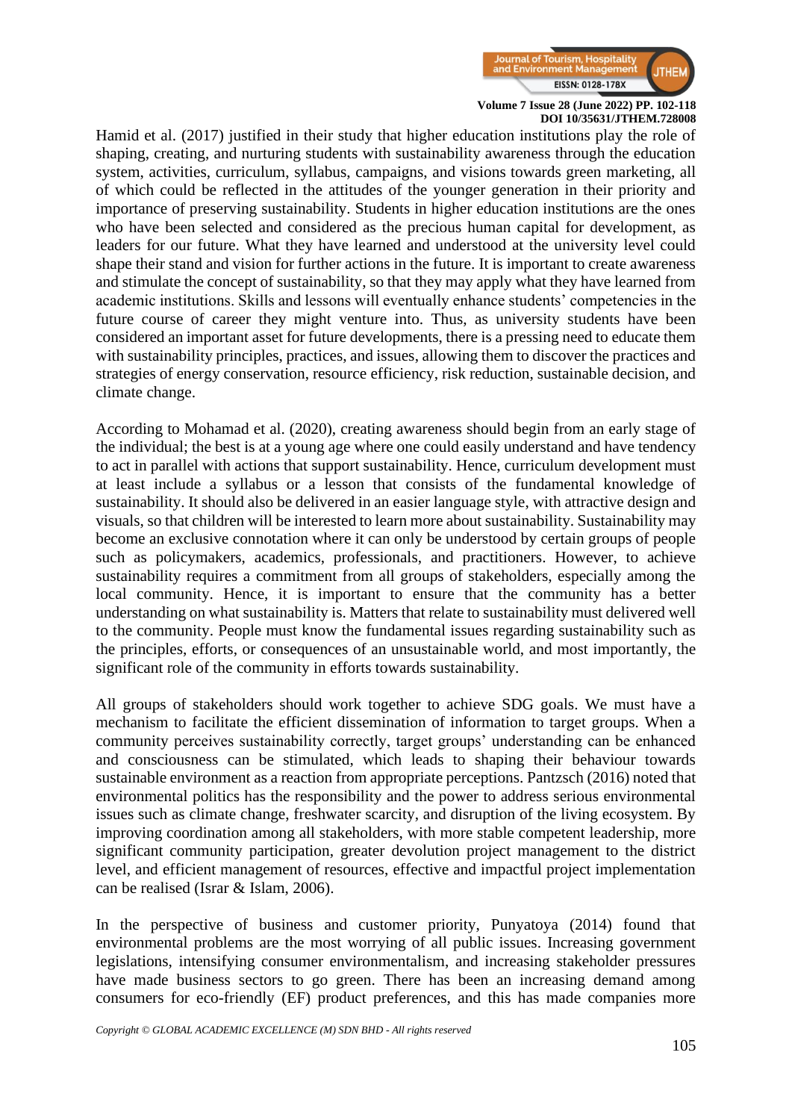

Hamid et al. (2017) justified in their study that higher education institutions play the role of shaping, creating, and nurturing students with sustainability awareness through the education system, activities, curriculum, syllabus, campaigns, and visions towards green marketing, all of which could be reflected in the attitudes of the younger generation in their priority and importance of preserving sustainability. Students in higher education institutions are the ones who have been selected and considered as the precious human capital for development, as leaders for our future. What they have learned and understood at the university level could shape their stand and vision for further actions in the future. It is important to create awareness and stimulate the concept of sustainability, so that they may apply what they have learned from academic institutions. Skills and lessons will eventually enhance students' competencies in the future course of career they might venture into. Thus, as university students have been considered an important asset for future developments, there is a pressing need to educate them with sustainability principles, practices, and issues, allowing them to discover the practices and strategies of energy conservation, resource efficiency, risk reduction, sustainable decision, and climate change.

According to Mohamad et al. (2020), creating awareness should begin from an early stage of the individual; the best is at a young age where one could easily understand and have tendency to act in parallel with actions that support sustainability. Hence, curriculum development must at least include a syllabus or a lesson that consists of the fundamental knowledge of sustainability. It should also be delivered in an easier language style, with attractive design and visuals, so that children will be interested to learn more about sustainability. Sustainability may become an exclusive connotation where it can only be understood by certain groups of people such as policymakers, academics, professionals, and practitioners. However, to achieve sustainability requires a commitment from all groups of stakeholders, especially among the local community. Hence, it is important to ensure that the community has a better understanding on what sustainability is. Matters that relate to sustainability must delivered well to the community. People must know the fundamental issues regarding sustainability such as the principles, efforts, or consequences of an unsustainable world, and most importantly, the significant role of the community in efforts towards sustainability.

All groups of stakeholders should work together to achieve SDG goals. We must have a mechanism to facilitate the efficient dissemination of information to target groups. When a community perceives sustainability correctly, target groups' understanding can be enhanced and consciousness can be stimulated, which leads to shaping their behaviour towards sustainable environment as a reaction from appropriate perceptions. Pantzsch (2016) noted that environmental politics has the responsibility and the power to address serious environmental issues such as climate change, freshwater scarcity, and disruption of the living ecosystem. By improving coordination among all stakeholders, with more stable competent leadership, more significant community participation, greater devolution project management to the district level, and efficient management of resources, effective and impactful project implementation can be realised (Israr & Islam, 2006).

In the perspective of business and customer priority, Punyatoya (2014) found that environmental problems are the most worrying of all public issues. Increasing government legislations, intensifying consumer environmentalism, and increasing stakeholder pressures have made business sectors to go green. There has been an increasing demand among consumers for eco-friendly (EF) product preferences, and this has made companies more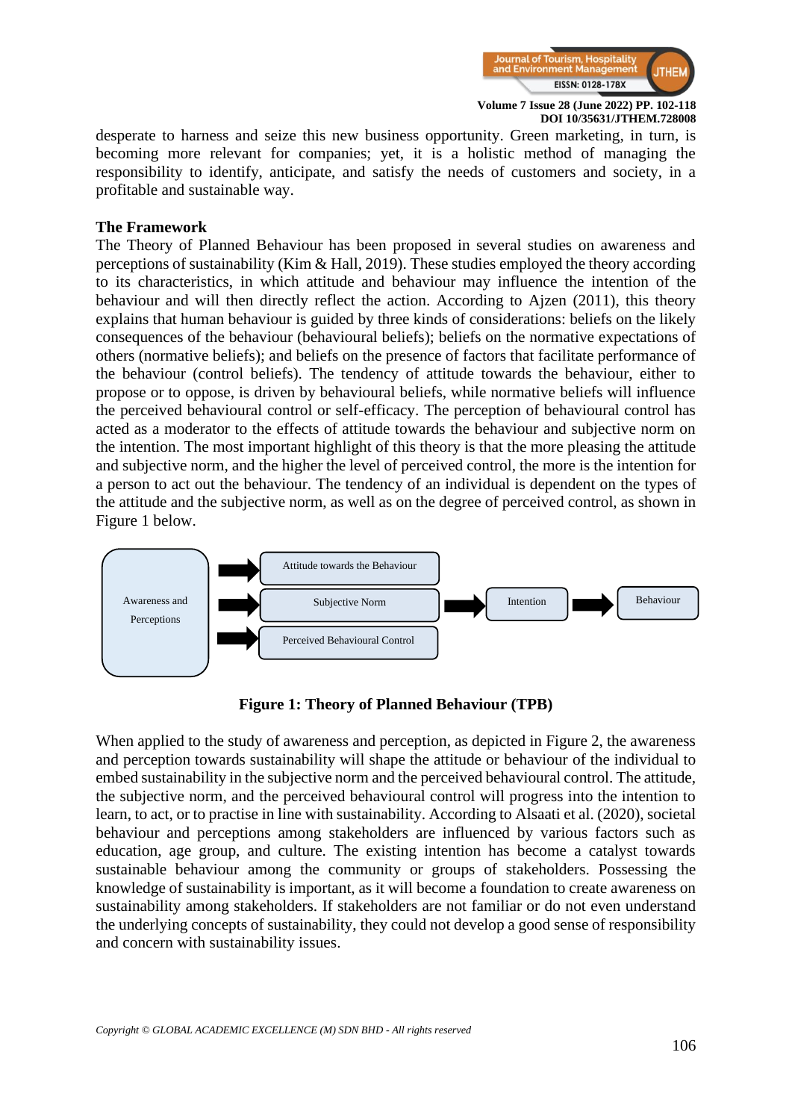

desperate to harness and seize this new business opportunity. Green marketing, in turn, is becoming more relevant for companies; yet, it is a holistic method of managing the responsibility to identify, anticipate, and satisfy the needs of customers and society, in a profitable and sustainable way.

#### **The Framework**

The Theory of Planned Behaviour has been proposed in several studies on awareness and perceptions of sustainability (Kim & Hall, 2019). These studies employed the theory according to its characteristics, in which attitude and behaviour may influence the intention of the behaviour and will then directly reflect the action. According to Ajzen (2011), this theory explains that human behaviour is guided by three kinds of considerations: beliefs on the likely consequences of the behaviour (behavioural beliefs); beliefs on the normative expectations of others (normative beliefs); and beliefs on the presence of factors that facilitate performance of the behaviour (control beliefs). The tendency of attitude towards the behaviour, either to propose or to oppose, is driven by behavioural beliefs, while normative beliefs will influence the perceived behavioural control or self-efficacy. The perception of behavioural control has acted as a moderator to the effects of attitude towards the behaviour and subjective norm on the intention. The most important highlight of this theory is that the more pleasing the attitude and subjective norm, and the higher the level of perceived control, the more is the intention for a person to act out the behaviour. The tendency of an individual is dependent on the types of the attitude and the subjective norm, as well as on the degree of perceived control, as shown in Figure 1 below.



**Figure 1: Theory of Planned Behaviour (TPB)**

When applied to the study of awareness and perception, as depicted in Figure 2, the awareness and perception towards sustainability will shape the attitude or behaviour of the individual to embed sustainability in the subjective norm and the perceived behavioural control. The attitude, the subjective norm, and the perceived behavioural control will progress into the intention to learn, to act, or to practise in line with sustainability. According to Alsaati et al. (2020), societal behaviour and perceptions among stakeholders are influenced by various factors such as education, age group, and culture. The existing intention has become a catalyst towards sustainable behaviour among the community or groups of stakeholders. Possessing the knowledge of sustainability is important, as it will become a foundation to create awareness on sustainability among stakeholders. If stakeholders are not familiar or do not even understand the underlying concepts of sustainability, they could not develop a good sense of responsibility and concern with sustainability issues.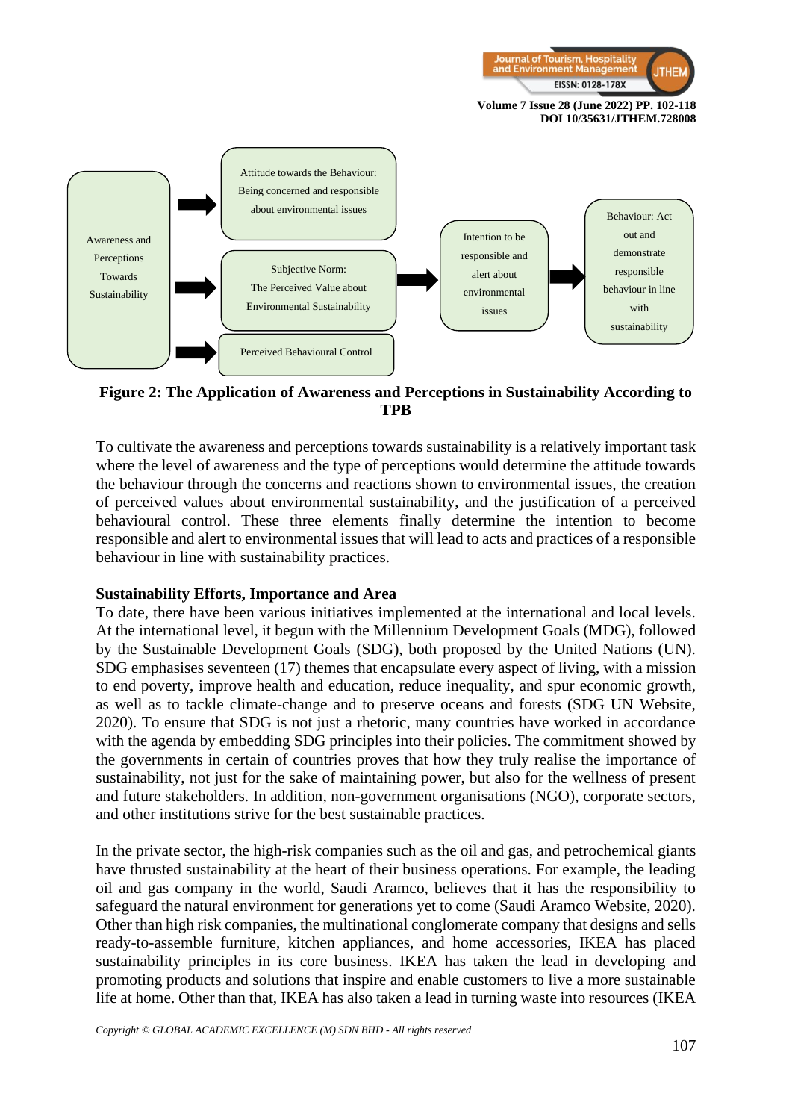



**Figure 2: The Application of Awareness and Perceptions in Sustainability According to TPB**

To cultivate the awareness and perceptions towards sustainability is a relatively important task where the level of awareness and the type of perceptions would determine the attitude towards the behaviour through the concerns and reactions shown to environmental issues, the creation of perceived values about environmental sustainability, and the justification of a perceived behavioural control. These three elements finally determine the intention to become responsible and alert to environmental issues that will lead to acts and practices of a responsible behaviour in line with sustainability practices.

#### **Sustainability Efforts, Importance and Area**

To date, there have been various initiatives implemented at the international and local levels. At the international level, it begun with the Millennium Development Goals (MDG), followed by the Sustainable Development Goals (SDG), both proposed by the United Nations (UN). SDG emphasises seventeen (17) themes that encapsulate every aspect of living, with a mission to end poverty, improve health and education, reduce inequality, and spur economic growth, as well as to tackle climate-change and to preserve oceans and forests (SDG UN Website, 2020). To ensure that SDG is not just a rhetoric, many countries have worked in accordance with the agenda by embedding SDG principles into their policies. The commitment showed by the governments in certain of countries proves that how they truly realise the importance of sustainability, not just for the sake of maintaining power, but also for the wellness of present and future stakeholders. In addition, non-government organisations (NGO), corporate sectors, and other institutions strive for the best sustainable practices.

In the private sector, the high-risk companies such as the oil and gas, and petrochemical giants have thrusted sustainability at the heart of their business operations. For example, the leading oil and gas company in the world, Saudi Aramco, believes that it has the responsibility to safeguard the natural environment for generations yet to come (Saudi Aramco Website, 2020). Other than high risk companies, the multinational conglomerate company that designs and sells ready-to-assemble furniture, kitchen appliances, and home accessories, IKEA has placed sustainability principles in its core business. IKEA has taken the lead in developing and promoting products and solutions that inspire and enable customers to live a more sustainable life at home. Other than that, IKEA has also taken a lead in turning waste into resources (IKEA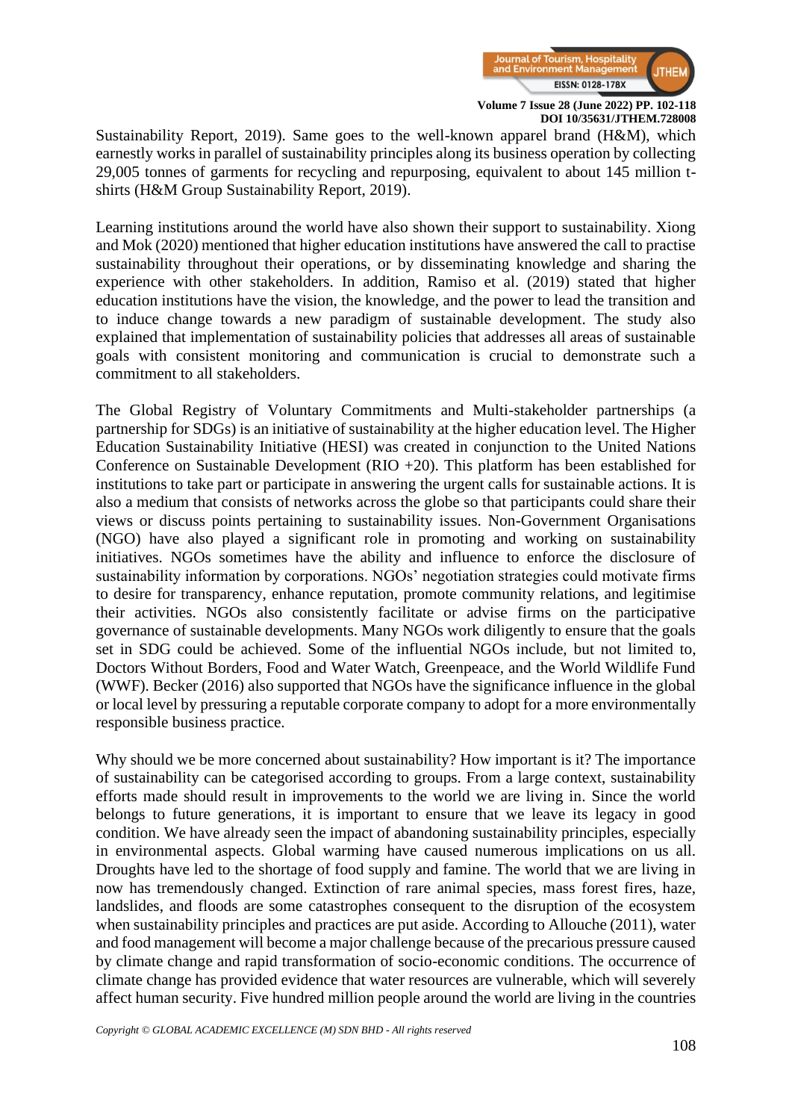

Sustainability Report, 2019). Same goes to the well-known apparel brand (H&M), which earnestly works in parallel of sustainability principles along its business operation by collecting 29,005 tonnes of garments for recycling and repurposing, equivalent to about 145 million tshirts (H&M Group Sustainability Report, 2019).

Learning institutions around the world have also shown their support to sustainability. Xiong and Mok (2020) mentioned that higher education institutions have answered the call to practise sustainability throughout their operations, or by disseminating knowledge and sharing the experience with other stakeholders. In addition, Ramiso et al. (2019) stated that higher education institutions have the vision, the knowledge, and the power to lead the transition and to induce change towards a new paradigm of sustainable development. The study also explained that implementation of sustainability policies that addresses all areas of sustainable goals with consistent monitoring and communication is crucial to demonstrate such a commitment to all stakeholders.

The Global Registry of Voluntary Commitments and Multi-stakeholder partnerships (a partnership for SDGs) is an initiative of sustainability at the higher education level. The Higher Education Sustainability Initiative (HESI) was created in conjunction to the United Nations Conference on Sustainable Development (RIO +20). This platform has been established for institutions to take part or participate in answering the urgent calls for sustainable actions. It is also a medium that consists of networks across the globe so that participants could share their views or discuss points pertaining to sustainability issues. Non-Government Organisations (NGO) have also played a significant role in promoting and working on sustainability initiatives. NGOs sometimes have the ability and influence to enforce the disclosure of sustainability information by corporations. NGOs' negotiation strategies could motivate firms to desire for transparency, enhance reputation, promote community relations, and legitimise their activities. NGOs also consistently facilitate or advise firms on the participative governance of sustainable developments. Many NGOs work diligently to ensure that the goals set in SDG could be achieved. Some of the influential NGOs include, but not limited to, Doctors Without Borders, Food and Water Watch, Greenpeace, and the World Wildlife Fund (WWF). Becker (2016) also supported that NGOs have the significance influence in the global or local level by pressuring a reputable corporate company to adopt for a more environmentally responsible business practice.

Why should we be more concerned about sustainability? How important is it? The importance of sustainability can be categorised according to groups. From a large context, sustainability efforts made should result in improvements to the world we are living in. Since the world belongs to future generations, it is important to ensure that we leave its legacy in good condition. We have already seen the impact of abandoning sustainability principles, especially in environmental aspects. Global warming have caused numerous implications on us all. Droughts have led to the shortage of food supply and famine. The world that we are living in now has tremendously changed. Extinction of rare animal species, mass forest fires, haze, landslides, and floods are some catastrophes consequent to the disruption of the ecosystem when sustainability principles and practices are put aside. According to Allouche (2011), water and food management will become a major challenge because of the precarious pressure caused by climate change and rapid transformation of socio-economic conditions. The occurrence of climate change has provided evidence that water resources are vulnerable, which will severely affect human security. Five hundred million people around the world are living in the countries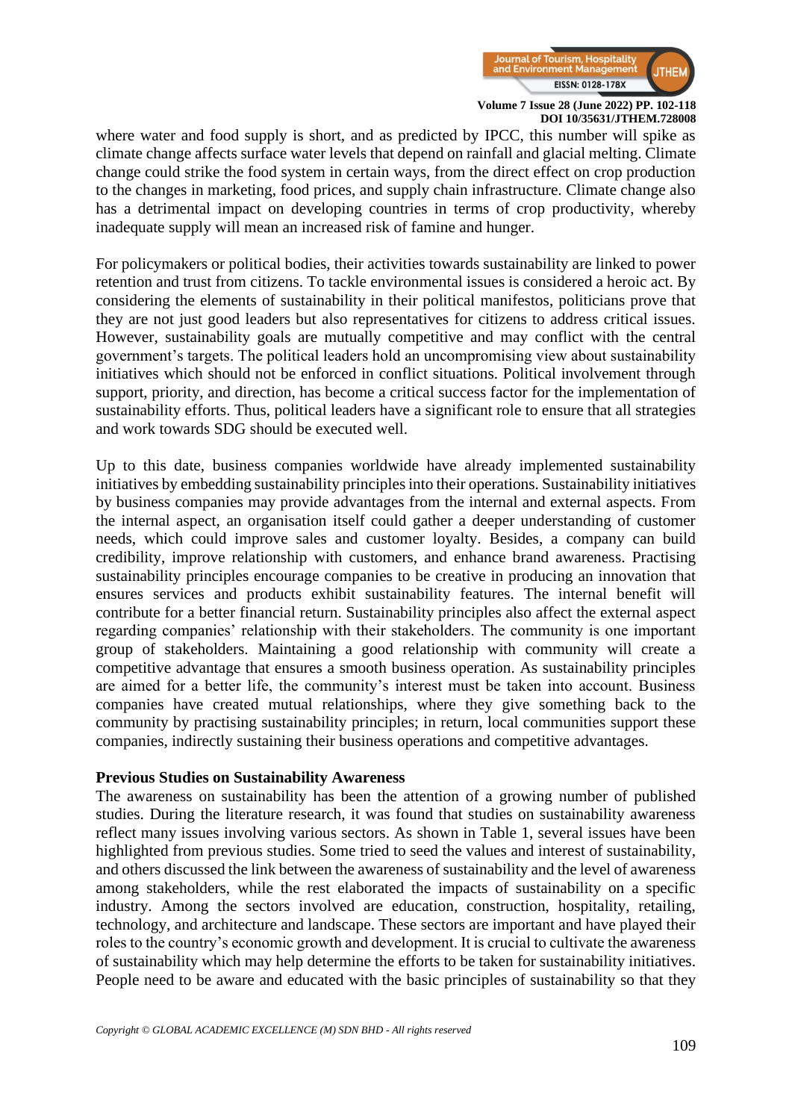

where water and food supply is short, and as predicted by IPCC, this number will spike as climate change affects surface water levels that depend on rainfall and glacial melting. Climate change could strike the food system in certain ways, from the direct effect on crop production to the changes in marketing, food prices, and supply chain infrastructure. Climate change also has a detrimental impact on developing countries in terms of crop productivity, whereby inadequate supply will mean an increased risk of famine and hunger.

For policymakers or political bodies, their activities towards sustainability are linked to power retention and trust from citizens. To tackle environmental issues is considered a heroic act. By considering the elements of sustainability in their political manifestos, politicians prove that they are not just good leaders but also representatives for citizens to address critical issues. However, sustainability goals are mutually competitive and may conflict with the central government's targets. The political leaders hold an uncompromising view about sustainability initiatives which should not be enforced in conflict situations. Political involvement through support, priority, and direction, has become a critical success factor for the implementation of sustainability efforts. Thus, political leaders have a significant role to ensure that all strategies and work towards SDG should be executed well.

Up to this date, business companies worldwide have already implemented sustainability initiatives by embedding sustainability principles into their operations. Sustainability initiatives by business companies may provide advantages from the internal and external aspects. From the internal aspect, an organisation itself could gather a deeper understanding of customer needs, which could improve sales and customer loyalty. Besides, a company can build credibility, improve relationship with customers, and enhance brand awareness. Practising sustainability principles encourage companies to be creative in producing an innovation that ensures services and products exhibit sustainability features. The internal benefit will contribute for a better financial return. Sustainability principles also affect the external aspect regarding companies' relationship with their stakeholders. The community is one important group of stakeholders. Maintaining a good relationship with community will create a competitive advantage that ensures a smooth business operation. As sustainability principles are aimed for a better life, the community's interest must be taken into account. Business companies have created mutual relationships, where they give something back to the community by practising sustainability principles; in return, local communities support these companies, indirectly sustaining their business operations and competitive advantages.

#### **Previous Studies on Sustainability Awareness**

The awareness on sustainability has been the attention of a growing number of published studies. During the literature research, it was found that studies on sustainability awareness reflect many issues involving various sectors. As shown in Table 1, several issues have been highlighted from previous studies. Some tried to seed the values and interest of sustainability, and others discussed the link between the awareness of sustainability and the level of awareness among stakeholders, while the rest elaborated the impacts of sustainability on a specific industry. Among the sectors involved are education, construction, hospitality, retailing, technology, and architecture and landscape. These sectors are important and have played their roles to the country's economic growth and development. It is crucial to cultivate the awareness of sustainability which may help determine the efforts to be taken for sustainability initiatives. People need to be aware and educated with the basic principles of sustainability so that they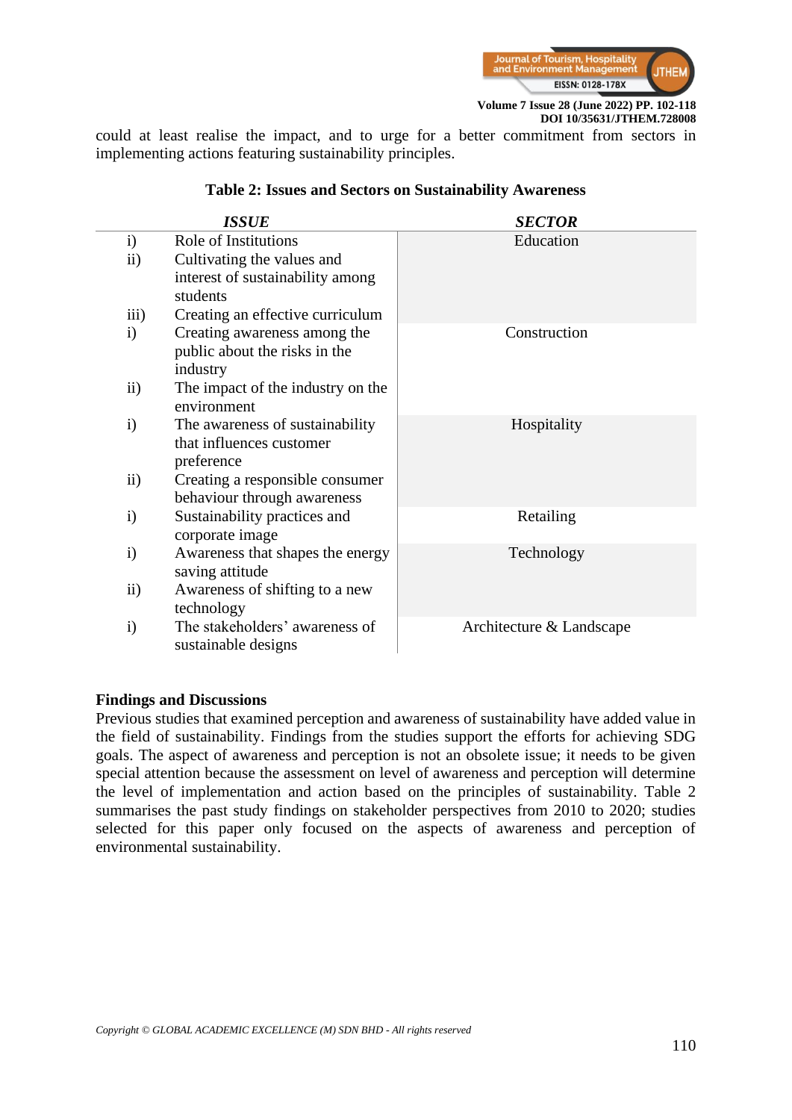

could at least realise the impact, and to urge for a better commitment from sectors in implementing actions featuring sustainability principles.

|                  | <b>ISSUE</b>                                                              | <b>SECTOR</b>            |
|------------------|---------------------------------------------------------------------------|--------------------------|
| i)               | Role of Institutions                                                      | Education                |
| $\mathbf{ii}$    | Cultivating the values and                                                |                          |
|                  | interest of sustainability among<br>students                              |                          |
| $\overline{iii}$ | Creating an effective curriculum                                          |                          |
| $\mathbf{i}$     | Creating awareness among the<br>public about the risks in the<br>industry | Construction             |
| $\mathbf{ii}$    | The impact of the industry on the<br>environment                          |                          |
| $\mathbf{i}$     | The awareness of sustainability<br>that influences customer<br>preference | Hospitality              |
| $\mathbf{ii}$    | Creating a responsible consumer<br>behaviour through awareness            |                          |
| $\mathbf{i}$     | Sustainability practices and<br>corporate image                           | Retailing                |
| $\mathbf{i}$     | Awareness that shapes the energy<br>saving attitude                       | Technology               |
| $\mathbf{ii}$    | Awareness of shifting to a new<br>technology                              |                          |
| $\mathbf{i}$     | The stakeholders' awareness of<br>sustainable designs                     | Architecture & Landscape |

# **Table 2: Issues and Sectors on Sustainability Awareness**

#### **Findings and Discussions**

Previous studies that examined perception and awareness of sustainability have added value in the field of sustainability. Findings from the studies support the efforts for achieving SDG goals. The aspect of awareness and perception is not an obsolete issue; it needs to be given special attention because the assessment on level of awareness and perception will determine the level of implementation and action based on the principles of sustainability. Table 2 summarises the past study findings on stakeholder perspectives from 2010 to 2020; studies selected for this paper only focused on the aspects of awareness and perception of environmental sustainability.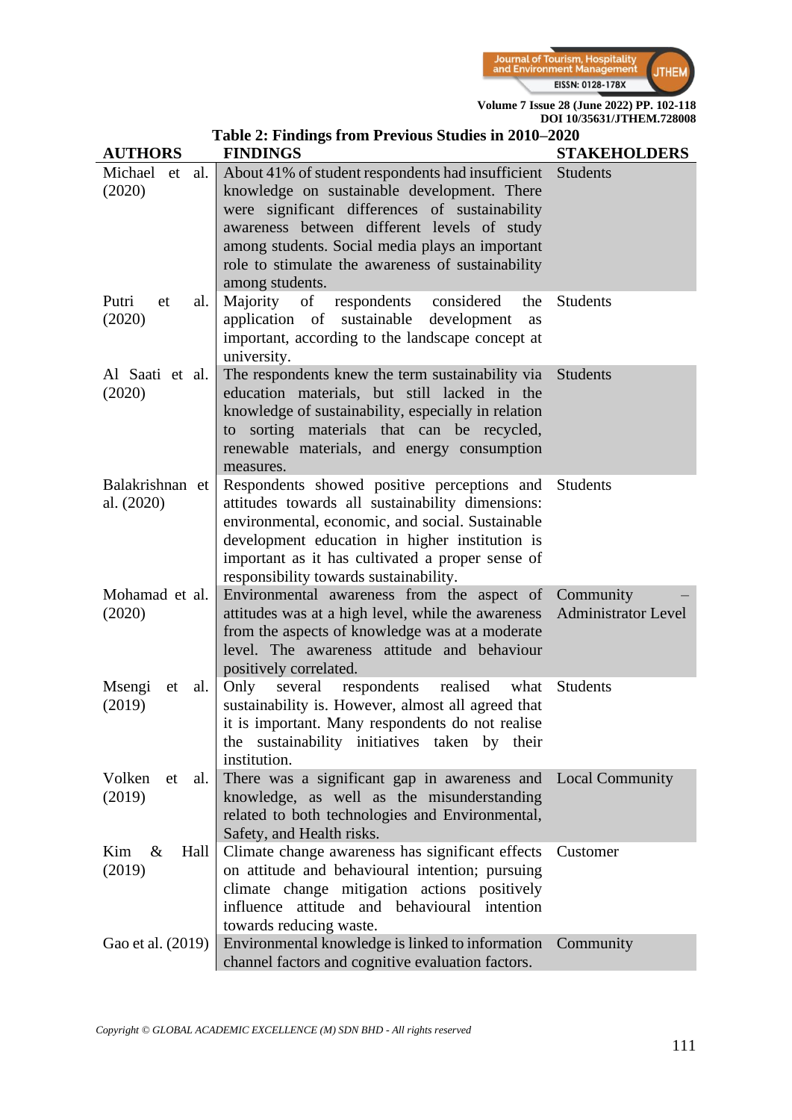

| Table 2: Findings from Previous Studies in 2010-2020 |                                                                                                                                                                                                                                                                                                                              |                                         |  |  |
|------------------------------------------------------|------------------------------------------------------------------------------------------------------------------------------------------------------------------------------------------------------------------------------------------------------------------------------------------------------------------------------|-----------------------------------------|--|--|
| <b>AUTHORS</b>                                       | <b>FINDINGS</b>                                                                                                                                                                                                                                                                                                              | <b>STAKEHOLDERS</b>                     |  |  |
| Michael et<br>al.<br>(2020)                          | About 41% of student respondents had insufficient<br>knowledge on sustainable development. There<br>were significant differences of sustainability<br>awareness between different levels of study<br>among students. Social media plays an important<br>role to stimulate the awareness of sustainability<br>among students. | <b>Students</b>                         |  |  |
| Putri<br>al.<br>et<br>(2020)                         | considered<br>Majority of<br>respondents<br>the<br>application of sustainable<br>development<br>as<br>important, according to the landscape concept at<br>university.                                                                                                                                                        | <b>Students</b>                         |  |  |
| Al Saati et al.<br>(2020)                            | The respondents knew the term sustainability via<br>education materials, but still lacked in the<br>knowledge of sustainability, especially in relation<br>to sorting materials that can be recycled,<br>renewable materials, and energy consumption<br>measures.                                                            | <b>Students</b>                         |  |  |
| Balakrishnan et<br>al. (2020)                        | Respondents showed positive perceptions and<br>attitudes towards all sustainability dimensions:<br>environmental, economic, and social. Sustainable<br>development education in higher institution is<br>important as it has cultivated a proper sense of<br>responsibility towards sustainability.                          | <b>Students</b>                         |  |  |
| Mohamad et al.<br>(2020)                             | Environmental awareness from the aspect of<br>attitudes was at a high level, while the awareness<br>from the aspects of knowledge was at a moderate<br>level. The awareness attitude and behaviour<br>positively correlated.                                                                                                 | Community<br><b>Administrator Level</b> |  |  |
| Msengi<br>al.<br>et<br>(2019)                        | Only<br>several<br>respondents<br>realised<br>what<br>sustainability is. However, almost all agreed that<br>it is important. Many respondents do not realise<br>the sustainability initiatives taken by their<br>institution.                                                                                                | <b>Students</b>                         |  |  |
| Volken<br>al.<br>et<br>(2019)                        | There was a significant gap in awareness and<br>knowledge, as well as the misunderstanding<br>related to both technologies and Environmental,<br>Safety, and Health risks.                                                                                                                                                   | <b>Local Community</b>                  |  |  |
| Kim<br>$\&$<br>Hall<br>(2019)                        | Climate change awareness has significant effects<br>on attitude and behavioural intention; pursuing<br>climate change mitigation actions positively<br>influence attitude and behavioural intention<br>towards reducing waste.                                                                                               | Customer                                |  |  |
| Gao et al. (2019)                                    | Environmental knowledge is linked to information<br>channel factors and cognitive evaluation factors.                                                                                                                                                                                                                        | Community                               |  |  |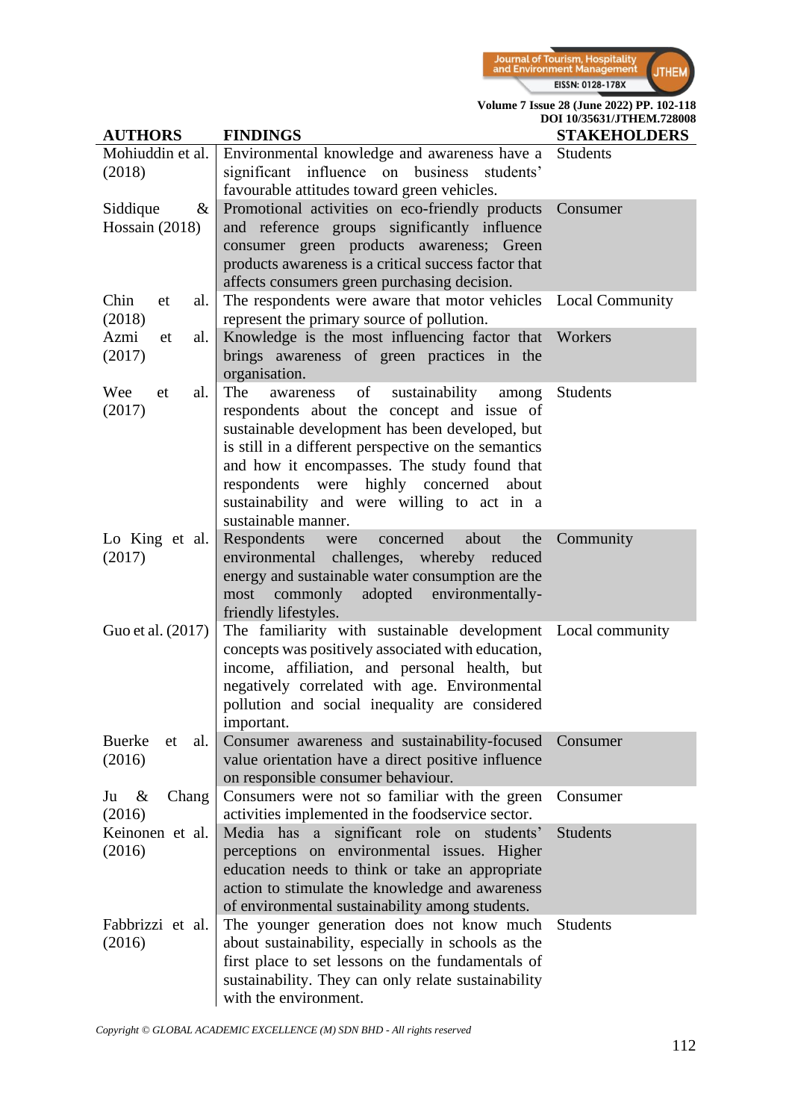

**Volume 7 Issue 28 (June 2022) PP. 102-118**

| <b>AUTHORS</b>                     | <b>FINDINGS</b>                                                                                                                                                                                                                                                                                                                                                                | DOI 10/35631/JTHEM.728008<br><b>STAKEHOLDERS</b> |
|------------------------------------|--------------------------------------------------------------------------------------------------------------------------------------------------------------------------------------------------------------------------------------------------------------------------------------------------------------------------------------------------------------------------------|--------------------------------------------------|
| Mohiuddin et al.<br>(2018)         | Environmental knowledge and awareness have a<br>significant<br>influence on business students'<br>favourable attitudes toward green vehicles.                                                                                                                                                                                                                                  | <b>Students</b>                                  |
| Siddique<br>$\&$<br>Hossain (2018) | Promotional activities on eco-friendly products<br>and reference groups significantly influence<br>consumer green products awareness; Green<br>products awareness is a critical success factor that<br>affects consumers green purchasing decision.                                                                                                                            | Consumer                                         |
| Chin<br>al.<br>et<br>(2018)        | The respondents were aware that motor vehicles Local Community<br>represent the primary source of pollution.                                                                                                                                                                                                                                                                   |                                                  |
| Azmi<br>al.<br>et<br>(2017)        | Knowledge is the most influencing factor that Workers<br>brings awareness of green practices in the<br>organisation.                                                                                                                                                                                                                                                           |                                                  |
| Wee<br>al.<br>et<br>(2017)         | of<br>The<br>sustainability<br>awareness<br>among<br>respondents about the concept and issue of<br>sustainable development has been developed, but<br>is still in a different perspective on the semantics<br>and how it encompasses. The study found that<br>respondents were highly concerned<br>about<br>sustainability and were willing to act in a<br>sustainable manner. | <b>Students</b>                                  |
| Lo King et al.<br>(2017)           | Respondents<br>about<br>the<br>concerned<br>were<br>environmental challenges, whereby reduced<br>energy and sustainable water consumption are the<br>adopted<br>environmentally-<br>commonly<br>most<br>friendly lifestyles.                                                                                                                                                   | Community                                        |
| Guo et al. (2017)                  | The familiarity with sustainable development Local community<br>concepts was positively associated with education,<br>income, affiliation, and personal health, but<br>negatively correlated with age. Environmental<br>pollution and social inequality are considered<br>important.                                                                                           |                                                  |
| Buerke<br>al.<br>et<br>(2016)      | Consumer awareness and sustainability-focused<br>value orientation have a direct positive influence<br>on responsible consumer behaviour.                                                                                                                                                                                                                                      | Consumer                                         |
| Ju<br>&<br>Chang<br>(2016)         | Consumers were not so familiar with the green<br>activities implemented in the foodservice sector.                                                                                                                                                                                                                                                                             | Consumer                                         |
| Keinonen et al.<br>(2016)          | Media has a significant role on students'<br>perceptions on environmental issues. Higher<br>education needs to think or take an appropriate<br>action to stimulate the knowledge and awareness<br>of environmental sustainability among students.                                                                                                                              | <b>Students</b>                                  |
| Fabbrizzi et al.<br>(2016)         | The younger generation does not know much<br>about sustainability, especially in schools as the<br>first place to set lessons on the fundamentals of<br>sustainability. They can only relate sustainability<br>with the environment.                                                                                                                                           | Students                                         |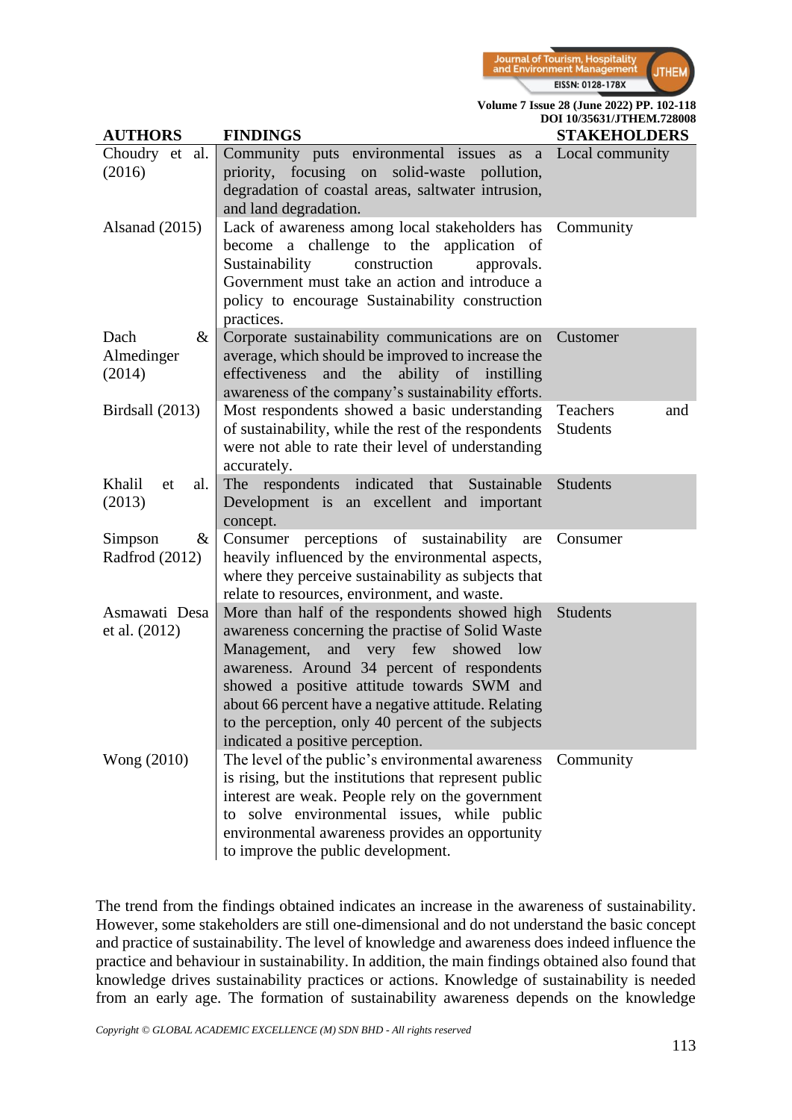

| <b>AUTHORS</b>                       | <b>FINDINGS</b>                                                                                                                                                                                                                                                                                                                                                                           | <b>STAKEHOLDERS</b>                |
|--------------------------------------|-------------------------------------------------------------------------------------------------------------------------------------------------------------------------------------------------------------------------------------------------------------------------------------------------------------------------------------------------------------------------------------------|------------------------------------|
| Choudry et al.<br>(2016)             | Community puts environmental issues as a Local community<br>priority, focusing on solid-waste pollution,<br>degradation of coastal areas, saltwater intrusion,<br>and land degradation.                                                                                                                                                                                                   |                                    |
| Alsanad $(2015)$                     | Lack of awareness among local stakeholders has Community<br>become a challenge to the application of<br>construction<br>Sustainability<br>approvals.<br>Government must take an action and introduce a<br>policy to encourage Sustainability construction<br>practices.                                                                                                                   |                                    |
| Dach<br>$\&$<br>Almedinger<br>(2014) | Corporate sustainability communications are on<br>average, which should be improved to increase the<br>effectiveness and the ability of instilling<br>awareness of the company's sustainability efforts.                                                                                                                                                                                  | Customer                           |
| Birdsall (2013)                      | Most respondents showed a basic understanding<br>of sustainability, while the rest of the respondents<br>were not able to rate their level of understanding<br>accurately.                                                                                                                                                                                                                | Teachers<br>and<br><b>Students</b> |
| Khalil<br>al.<br>et<br>(2013)        | The respondents indicated that Sustainable<br>Development is an excellent and important<br>concept.                                                                                                                                                                                                                                                                                       | <b>Students</b>                    |
| Simpson<br>$\&$<br>Radfrod (2012)    | Consumer perceptions of sustainability are<br>heavily influenced by the environmental aspects,<br>where they perceive sustainability as subjects that<br>relate to resources, environment, and waste.                                                                                                                                                                                     | Consumer                           |
| Asmawati Desa<br>et al. (2012)       | More than half of the respondents showed high<br>awareness concerning the practise of Solid Waste<br>Management,<br>and very few showed low<br>awareness. Around 34 percent of respondents<br>showed a positive attitude towards SWM and<br>about 66 percent have a negative attitude. Relating<br>to the perception, only 40 percent of the subjects<br>indicated a positive perception. | <b>Students</b>                    |
| Wong (2010)                          | The level of the public's environmental awareness<br>is rising, but the institutions that represent public<br>interest are weak. People rely on the government<br>to solve environmental issues, while public<br>environmental awareness provides an opportunity<br>to improve the public development.                                                                                    | Community                          |

The trend from the findings obtained indicates an increase in the awareness of sustainability. However, some stakeholders are still one-dimensional and do not understand the basic concept and practice of sustainability. The level of knowledge and awareness does indeed influence the practice and behaviour in sustainability. In addition, the main findings obtained also found that knowledge drives sustainability practices or actions. Knowledge of sustainability is needed from an early age. The formation of sustainability awareness depends on the knowledge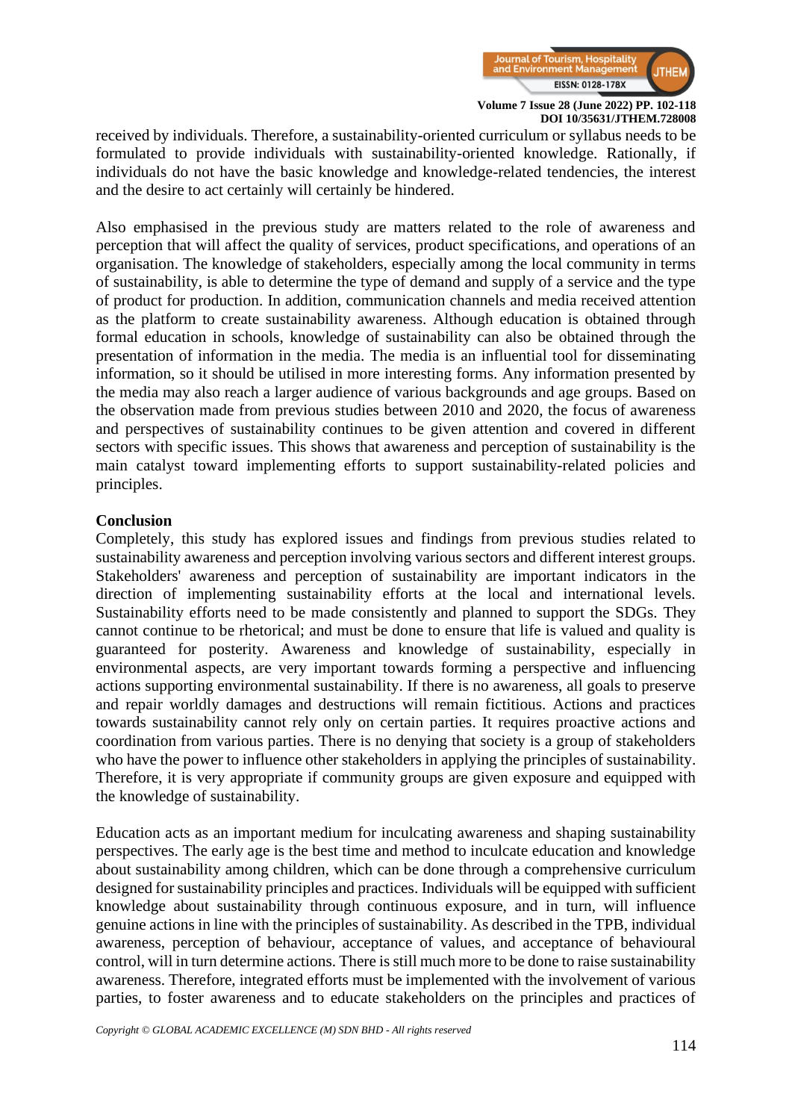

received by individuals. Therefore, a sustainability-oriented curriculum or syllabus needs to be formulated to provide individuals with sustainability-oriented knowledge. Rationally, if individuals do not have the basic knowledge and knowledge-related tendencies, the interest and the desire to act certainly will certainly be hindered.

Also emphasised in the previous study are matters related to the role of awareness and perception that will affect the quality of services, product specifications, and operations of an organisation. The knowledge of stakeholders, especially among the local community in terms of sustainability, is able to determine the type of demand and supply of a service and the type of product for production. In addition, communication channels and media received attention as the platform to create sustainability awareness. Although education is obtained through formal education in schools, knowledge of sustainability can also be obtained through the presentation of information in the media. The media is an influential tool for disseminating information, so it should be utilised in more interesting forms. Any information presented by the media may also reach a larger audience of various backgrounds and age groups. Based on the observation made from previous studies between 2010 and 2020, the focus of awareness and perspectives of sustainability continues to be given attention and covered in different sectors with specific issues. This shows that awareness and perception of sustainability is the main catalyst toward implementing efforts to support sustainability-related policies and principles.

#### **Conclusion**

Completely, this study has explored issues and findings from previous studies related to sustainability awareness and perception involving various sectors and different interest groups. Stakeholders' awareness and perception of sustainability are important indicators in the direction of implementing sustainability efforts at the local and international levels. Sustainability efforts need to be made consistently and planned to support the SDGs. They cannot continue to be rhetorical; and must be done to ensure that life is valued and quality is guaranteed for posterity. Awareness and knowledge of sustainability, especially in environmental aspects, are very important towards forming a perspective and influencing actions supporting environmental sustainability. If there is no awareness, all goals to preserve and repair worldly damages and destructions will remain fictitious. Actions and practices towards sustainability cannot rely only on certain parties. It requires proactive actions and coordination from various parties. There is no denying that society is a group of stakeholders who have the power to influence other stakeholders in applying the principles of sustainability. Therefore, it is very appropriate if community groups are given exposure and equipped with the knowledge of sustainability.

Education acts as an important medium for inculcating awareness and shaping sustainability perspectives. The early age is the best time and method to inculcate education and knowledge about sustainability among children, which can be done through a comprehensive curriculum designed for sustainability principles and practices. Individuals will be equipped with sufficient knowledge about sustainability through continuous exposure, and in turn, will influence genuine actions in line with the principles of sustainability. As described in the TPB, individual awareness, perception of behaviour, acceptance of values, and acceptance of behavioural control, will in turn determine actions. There is still much more to be done to raise sustainability awareness. Therefore, integrated efforts must be implemented with the involvement of various parties, to foster awareness and to educate stakeholders on the principles and practices of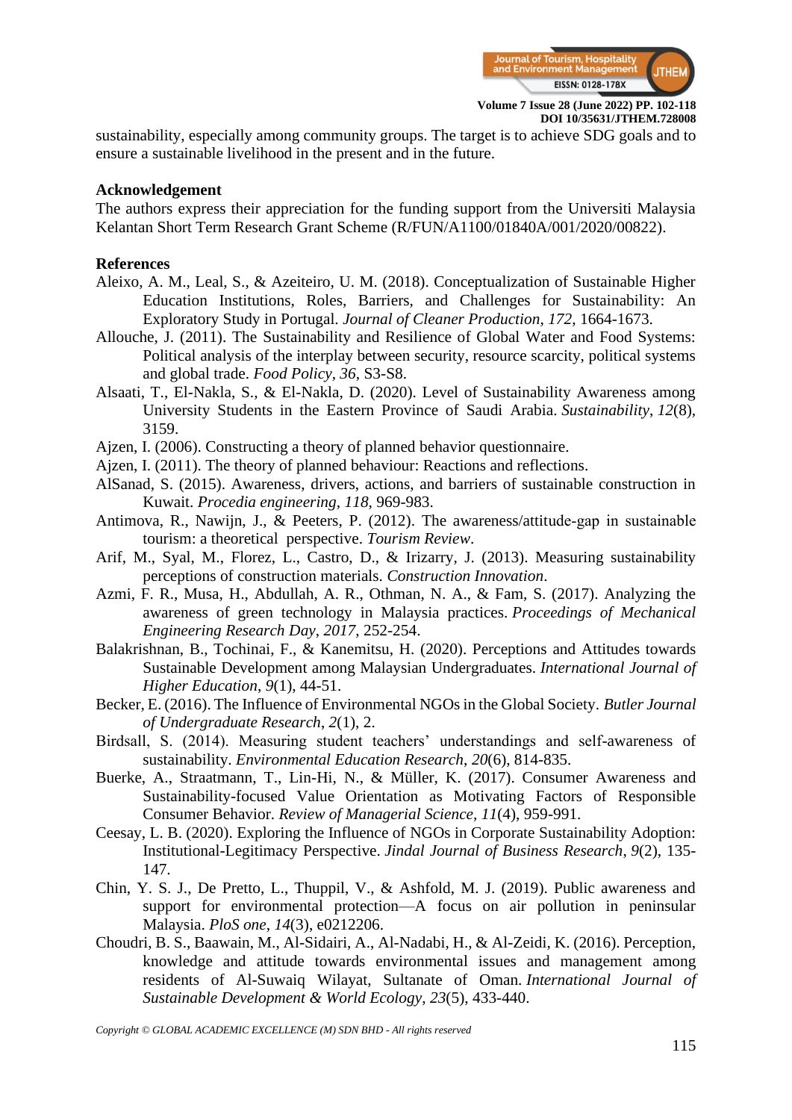

sustainability, especially among community groups. The target is to achieve SDG goals and to ensure a sustainable livelihood in the present and in the future.

### **Acknowledgement**

The authors express their appreciation for the funding support from the Universiti Malaysia Kelantan Short Term Research Grant Scheme (R/FUN/A1100/01840A/001/2020/00822).

## **References**

- Aleixo, A. M., Leal, S., & Azeiteiro, U. M. (2018). Conceptualization of Sustainable Higher Education Institutions, Roles, Barriers, and Challenges for Sustainability: An Exploratory Study in Portugal. *Journal of Cleaner Production*, *172*, 1664-1673.
- Allouche, J. (2011). The Sustainability and Resilience of Global Water and Food Systems: Political analysis of the interplay between security, resource scarcity, political systems and global trade. *Food Policy*, *36*, S3-S8.
- Alsaati, T., El-Nakla, S., & El-Nakla, D. (2020). Level of Sustainability Awareness among University Students in the Eastern Province of Saudi Arabia. *Sustainability*, *12*(8), 3159.
- Ajzen, I. (2006). Constructing a theory of planned behavior questionnaire.
- Ajzen, I. (2011). The theory of planned behaviour: Reactions and reflections.
- AlSanad, S. (2015). Awareness, drivers, actions, and barriers of sustainable construction in Kuwait. *Procedia engineering*, *118*, 969-983.
- Antimova, R., Nawijn, J., & Peeters, P. (2012). The awareness/attitude‐gap in sustainable tourism: a theoretical perspective. *Tourism Review*.
- Arif, M., Syal, M., Florez, L., Castro, D., & Irizarry, J. (2013). Measuring sustainability perceptions of construction materials. *Construction Innovation*.
- Azmi, F. R., Musa, H., Abdullah, A. R., Othman, N. A., & Fam, S. (2017). Analyzing the awareness of green technology in Malaysia practices. *Proceedings of Mechanical Engineering Research Day*, *2017*, 252-254.
- Balakrishnan, B., Tochinai, F., & Kanemitsu, H. (2020). Perceptions and Attitudes towards Sustainable Development among Malaysian Undergraduates. *International Journal of Higher Education*, *9*(1), 44-51.
- Becker, E. (2016). The Influence of Environmental NGOs in the Global Society. *Butler Journal of Undergraduate Research*, *2*(1), 2.
- Birdsall, S. (2014). Measuring student teachers' understandings and self-awareness of sustainability. *Environmental Education Research*, *20*(6), 814-835.
- Buerke, A., Straatmann, T., Lin-Hi, N., & Müller, K. (2017). Consumer Awareness and Sustainability-focused Value Orientation as Motivating Factors of Responsible Consumer Behavior. *Review of Managerial Science*, *11*(4), 959-991.
- Ceesay, L. B. (2020). Exploring the Influence of NGOs in Corporate Sustainability Adoption: Institutional-Legitimacy Perspective. *Jindal Journal of Business Research*, *9*(2), 135- 147.
- Chin, Y. S. J., De Pretto, L., Thuppil, V., & Ashfold, M. J. (2019). Public awareness and support for environmental protection—A focus on air pollution in peninsular Malaysia. *PloS one*, *14*(3), e0212206.
- Choudri, B. S., Baawain, M., Al-Sidairi, A., Al-Nadabi, H., & Al-Zeidi, K. (2016). Perception, knowledge and attitude towards environmental issues and management among residents of Al-Suwaiq Wilayat, Sultanate of Oman. *International Journal of Sustainable Development & World Ecology*, *23*(5), 433-440.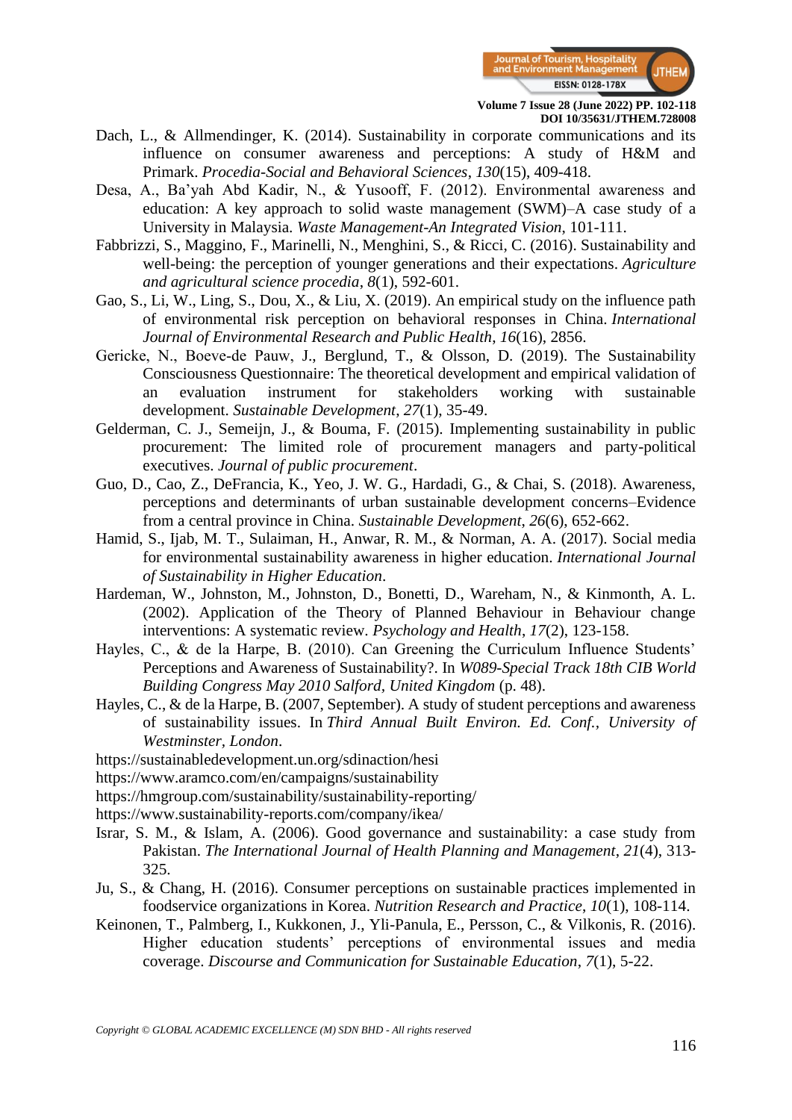

- Dach, L., & Allmendinger, K. (2014). Sustainability in corporate communications and its influence on consumer awareness and perceptions: A study of H&M and Primark. *Procedia-Social and Behavioral Sciences*, *130*(15), 409-418.
- Desa, A., Ba'yah Abd Kadir, N., & Yusooff, F. (2012). Environmental awareness and education: A key approach to solid waste management (SWM)–A case study of a University in Malaysia. *Waste Management-An Integrated Vision*, 101-111.
- Fabbrizzi, S., Maggino, F., Marinelli, N., Menghini, S., & Ricci, C. (2016). Sustainability and well-being: the perception of younger generations and their expectations. *Agriculture and agricultural science procedia*, *8*(1), 592-601.
- Gao, S., Li, W., Ling, S., Dou, X., & Liu, X. (2019). An empirical study on the influence path of environmental risk perception on behavioral responses in China. *International Journal of Environmental Research and Public Health*, *16*(16), 2856.
- Gericke, N., Boeve-de Pauw, J., Berglund, T., & Olsson, D. (2019). The Sustainability Consciousness Questionnaire: The theoretical development and empirical validation of an evaluation instrument for stakeholders working with sustainable development. *Sustainable Development*, *27*(1), 35-49.
- Gelderman, C. J., Semeijn, J., & Bouma, F. (2015). Implementing sustainability in public procurement: The limited role of procurement managers and party-political executives. *Journal of public procurement*.
- Guo, D., Cao, Z., DeFrancia, K., Yeo, J. W. G., Hardadi, G., & Chai, S. (2018). Awareness, perceptions and determinants of urban sustainable development concerns–Evidence from a central province in China. *Sustainable Development*, *26*(6), 652-662.
- Hamid, S., Ijab, M. T., Sulaiman, H., Anwar, R. M., & Norman, A. A. (2017). Social media for environmental sustainability awareness in higher education. *International Journal of Sustainability in Higher Education*.
- Hardeman, W., Johnston, M., Johnston, D., Bonetti, D., Wareham, N., & Kinmonth, A. L. (2002). Application of the Theory of Planned Behaviour in Behaviour change interventions: A systematic review. *Psychology and Health*, *17*(2), 123-158.
- Hayles, C., & de la Harpe, B. (2010). Can Greening the Curriculum Influence Students' Perceptions and Awareness of Sustainability?. In *W089-Special Track 18th CIB World Building Congress May 2010 Salford, United Kingdom* (p. 48).
- Hayles, C., & de la Harpe, B. (2007, September). A study of student perceptions and awareness of sustainability issues. In *Third Annual Built Environ. Ed. Conf., University of Westminster, London*.
- <https://sustainabledevelopment.un.org/sdinaction/hesi>
- <https://www.aramco.com/en/campaigns/sustainability>
- <https://hmgroup.com/sustainability/sustainability-reporting/>
- <https://www.sustainability-reports.com/company/ikea/>
- Israr, S. M., & Islam, A. (2006). Good governance and sustainability: a case study from Pakistan. *The International Journal of Health Planning and Management*, *21*(4), 313- 325.
- Ju, S., & Chang, H. (2016). Consumer perceptions on sustainable practices implemented in foodservice organizations in Korea. *Nutrition Research and Practice*, *10*(1), 108-114.
- Keinonen, T., Palmberg, I., Kukkonen, J., Yli-Panula, E., Persson, C., & Vilkonis, R. (2016). Higher education students' perceptions of environmental issues and media coverage. *Discourse and Communication for Sustainable Education*, *7*(1), 5-22.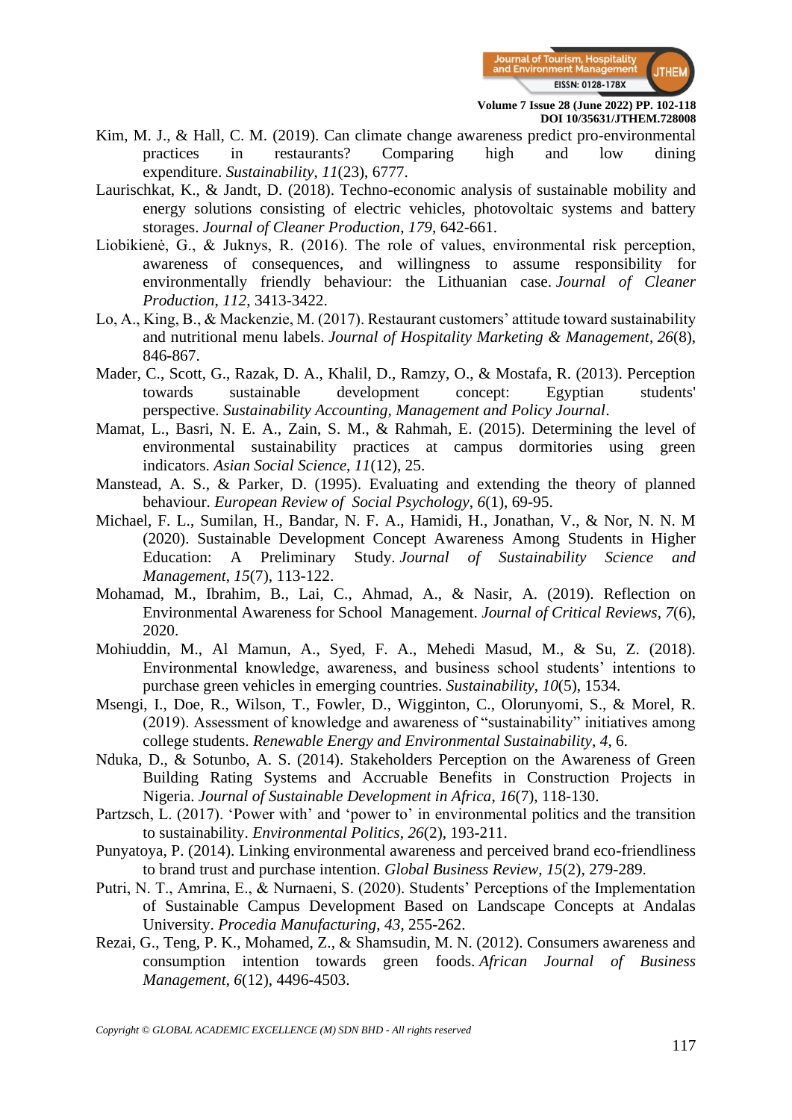

- Kim, M. J., & Hall, C. M. (2019). Can climate change awareness predict pro-environmental practices in restaurants? Comparing high and low dining expenditure. *Sustainability*, *11*(23), 6777.
- Laurischkat, K., & Jandt, D. (2018). Techno-economic analysis of sustainable mobility and energy solutions consisting of electric vehicles, photovoltaic systems and battery storages. *Journal of Cleaner Production*, *179*, 642-661.
- Liobikienė, G., & Juknys, R. (2016). The role of values, environmental risk perception, awareness of consequences, and willingness to assume responsibility for environmentally friendly behaviour: the Lithuanian case. *Journal of Cleaner Production*, *112*, 3413-3422.
- Lo, A., King, B., & Mackenzie, M. (2017). Restaurant customers' attitude toward sustainability and nutritional menu labels. *Journal of Hospitality Marketing & Management*, *26*(8), 846-867.
- Mader, C., Scott, G., Razak, D. A., Khalil, D., Ramzy, O., & Mostafa, R. (2013). Perception towards sustainable development concept: Egyptian students' perspective. *Sustainability Accounting, Management and Policy Journal*.
- Mamat, L., Basri, N. E. A., Zain, S. M., & Rahmah, E. (2015). Determining the level of environmental sustainability practices at campus dormitories using green indicators. *Asian Social Science*, *11*(12), 25.
- Manstead, A. S., & Parker, D. (1995). Evaluating and extending the theory of planned behaviour. *European Review of Social Psychology*, *6*(1), 69-95.
- Michael, F. L., Sumilan, H., Bandar, N. F. A., Hamidi, H., Jonathan, V., & Nor, N. N. M (2020). Sustainable Development Concept Awareness Among Students in Higher Education: A Preliminary Study. *Journal of Sustainability Science and Management*, *15*(7), 113-122.
- Mohamad, M., Ibrahim, B., Lai, C., Ahmad, A., & Nasir, A. (2019). Reflection on Environmental Awareness for School Management. *Journal of Critical Reviews*, *7*(6), 2020.
- Mohiuddin, M., Al Mamun, A., Syed, F. A., Mehedi Masud, M., & Su, Z. (2018). Environmental knowledge, awareness, and business school students' intentions to purchase green vehicles in emerging countries. *Sustainability*, *10*(5), 1534.
- Msengi, I., Doe, R., Wilson, T., Fowler, D., Wigginton, C., Olorunyomi, S., & Morel, R. (2019). Assessment of knowledge and awareness of "sustainability" initiatives among college students. *Renewable Energy and Environmental Sustainability*, *4*, 6.
- Nduka, D., & Sotunbo, A. S. (2014). Stakeholders Perception on the Awareness of Green Building Rating Systems and Accruable Benefits in Construction Projects in Nigeria. *Journal of Sustainable Development in Africa*, *16*(7), 118-130.
- Partzsch, L. (2017). 'Power with' and 'power to' in environmental politics and the transition to sustainability. *Environmental Politics*, *26*(2), 193-211.
- Punyatoya, P. (2014). Linking environmental awareness and perceived brand eco-friendliness to brand trust and purchase intention. *Global Business Review*, *15*(2), 279-289.
- Putri, N. T., Amrina, E., & Nurnaeni, S. (2020). Students' Perceptions of the Implementation of Sustainable Campus Development Based on Landscape Concepts at Andalas University. *Procedia Manufacturing*, *43*, 255-262.
- Rezai, G., Teng, P. K., Mohamed, Z., & Shamsudin, M. N. (2012). Consumers awareness and consumption intention towards green foods. *African Journal of Business Management*, *6*(12), 4496-4503.